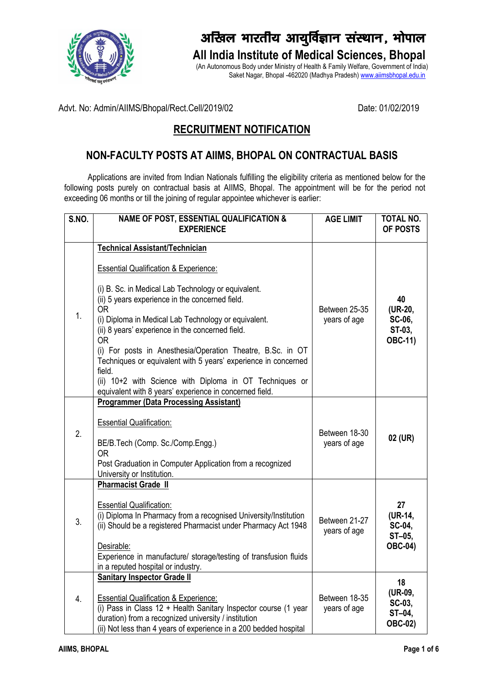

# *vf[ky Hkkjrh; vk; qfoZKku l aLFkku] Ò¨iky*

**All India Institute of Medical Sciences, Bhopal**

(An Autonomous Body under Ministry of Health & Family Welfare, Government of India) Saket Nagar, Bhopal -462020 (Madhya Pradesh[\) www.aiimsbhopal.edu.in](http://www.aiimsbhopal.edu.in/)

Advt. No: Admin/AIIMS/Bhopal/Rect.Cell/2019/02 Date: 01/02/2019

## **RECRUITMENT NOTIFICATION**

### **NON-FACULTY POSTS AT AIIMS, BHOPAL ON CONTRACTUAL BASIS**

Applications are invited from Indian Nationals fulfilling the eligibility criteria as mentioned below for the following posts purely on contractual basis at AIIMS, Bhopal. The appointment will be for the period not exceeding 06 months or till the joining of regular appointee whichever is earlier:

| S.NO. | <b>NAME OF POST, ESSENTIAL QUALIFICATION &amp;</b><br><b>EXPERIENCE</b>                                                                                                                                                                                                                                                                                                                                                                                                                                                                                                                                   | <b>AGE LIMIT</b>              | <b>TOTAL NO.</b><br>OF POSTS                        |
|-------|-----------------------------------------------------------------------------------------------------------------------------------------------------------------------------------------------------------------------------------------------------------------------------------------------------------------------------------------------------------------------------------------------------------------------------------------------------------------------------------------------------------------------------------------------------------------------------------------------------------|-------------------------------|-----------------------------------------------------|
|       |                                                                                                                                                                                                                                                                                                                                                                                                                                                                                                                                                                                                           |                               |                                                     |
| 1.    | <b>Technical Assistant/Technician</b><br><b>Essential Qualification &amp; Experience:</b><br>(i) B. Sc. in Medical Lab Technology or equivalent.<br>(ii) 5 years experience in the concerned field.<br><b>OR</b><br>(i) Diploma in Medical Lab Technology or equivalent.<br>(ii) 8 years' experience in the concerned field.<br><b>OR</b><br>(i) For posts in Anesthesia/Operation Theatre, B.Sc. in OT<br>Techniques or equivalent with 5 years' experience in concerned<br>field.<br>(ii) 10+2 with Science with Diploma in OT Techniques or<br>equivalent with 8 years' experience in concerned field. | Between 25-35<br>years of age | 40<br>(UR-20,<br>SC-06,<br>ST-03,<br><b>OBC-11)</b> |
| 2.    | <b>Programmer (Data Processing Assistant)</b><br><b>Essential Qualification:</b><br>BE/B.Tech (Comp. Sc./Comp.Engg.)<br><b>OR</b><br>Post Graduation in Computer Application from a recognized<br>University or Institution.                                                                                                                                                                                                                                                                                                                                                                              | Between 18-30<br>years of age | 02 (UR)                                             |
| 3.    | <b>Pharmacist Grade II</b><br><b>Essential Qualification:</b><br>(i) Diploma In Pharmacy from a recognised University/Institution<br>(ii) Should be a registered Pharmacist under Pharmacy Act 1948<br>Desirable:<br>Experience in manufacture/ storage/testing of transfusion fluids<br>in a reputed hospital or industry.                                                                                                                                                                                                                                                                               | Between 21-27<br>years of age | 27<br>(UR-14,<br>SC-04,<br>ST-05,<br><b>OBC-04)</b> |
| 4.    | <b>Sanitary Inspector Grade II</b><br><b>Essential Qualification &amp; Experience:</b><br>(i) Pass in Class 12 + Health Sanitary Inspector course (1 year<br>duration) from a recognized university / institution<br>(ii) Not less than 4 years of experience in a 200 bedded hospital                                                                                                                                                                                                                                                                                                                    | Between 18-35<br>years of age | 18<br>(UR-09,<br>SC-03,<br>ST-04,<br><b>OBC-02)</b> |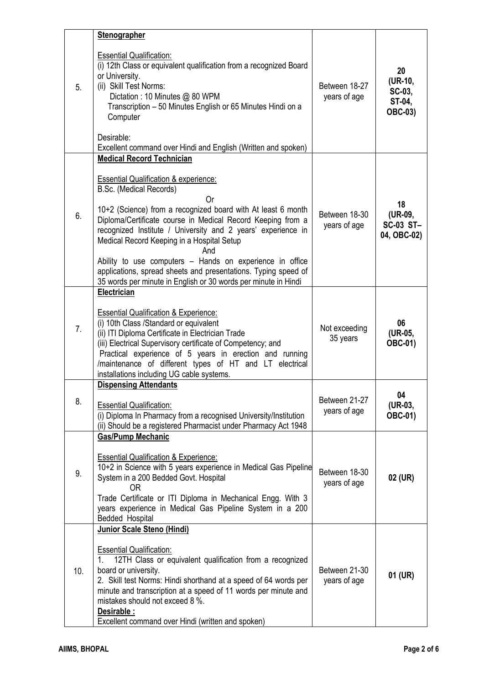|                | <b>Stenographer</b>                                                                                                                                                                                                                                                                                                                                                                                                                                                 |                                                              |                                                     |
|----------------|---------------------------------------------------------------------------------------------------------------------------------------------------------------------------------------------------------------------------------------------------------------------------------------------------------------------------------------------------------------------------------------------------------------------------------------------------------------------|--------------------------------------------------------------|-----------------------------------------------------|
| 5.             | <b>Essential Qualification:</b><br>(i) 12th Class or equivalent qualification from a recognized Board<br>or University.<br>(ii) Skill Test Norms:<br>Dictation: 10 Minutes @ 80 WPM<br>Transcription - 50 Minutes English or 65 Minutes Hindi on a<br>Computer<br>Desirable:<br>Excellent command over Hindi and English (Written and spoken)                                                                                                                       | Between 18-27<br>years of age                                | 20<br>(UR-10,<br>SC-03,<br>ST-04,<br><b>OBC-03)</b> |
|                | <b>Medical Record Technician</b>                                                                                                                                                                                                                                                                                                                                                                                                                                    |                                                              |                                                     |
| 6.             | <b>Essential Qualification &amp; experience:</b><br>B.Sc. (Medical Records)<br>Or<br>10+2 (Science) from a recognized board with At least 6 month<br>Diploma/Certificate course in Medical Record Keeping from a<br>recognized Institute / University and 2 years' experience in<br>Medical Record Keeping in a Hospital Setup<br>And<br>Ability to use computers - Hands on experience in office<br>applications, spread sheets and presentations. Typing speed of | Between 18-30<br>years of age                                | 18<br>(UR-09,<br><b>SC-03 ST-</b><br>04, OBC-02)    |
|                | 35 words per minute in English or 30 words per minute in Hindi                                                                                                                                                                                                                                                                                                                                                                                                      |                                                              |                                                     |
| 7 <sub>1</sub> | Electrician<br><b>Essential Qualification &amp; Experience:</b><br>(i) 10th Class / Standard or equivalent<br>(ii) ITI Diploma Certificate in Electrician Trade<br>(iii) Electrical Supervisory certificate of Competency; and<br>Practical experience of 5 years in erection and running<br>/maintenance of different types of HT and LT electrical<br>installations including UG cable systems.                                                                   | 06<br>Not exceeding<br>(UR-05,<br>35 years<br><b>OBC-01)</b> |                                                     |
|                | <b>Dispensing Attendants</b>                                                                                                                                                                                                                                                                                                                                                                                                                                        |                                                              |                                                     |
| 8.             | <b>Essential Qualification:</b><br>(i) Diploma In Pharmacy from a recognised University/Institution<br>(ii) Should be a registered Pharmacist under Pharmacy Act 1948                                                                                                                                                                                                                                                                                               | Between 21-27<br>years of age                                | 04<br>(UR-03,<br><b>OBC-01)</b>                     |
|                | <b>Gas/Pump Mechanic</b>                                                                                                                                                                                                                                                                                                                                                                                                                                            |                                                              |                                                     |
| 9.             | <b>Essential Qualification &amp; Experience:</b><br>10+2 in Science with 5 years experience in Medical Gas Pipeline<br>System in a 200 Bedded Govt. Hospital<br>0R.<br>Trade Certificate or ITI Diploma in Mechanical Engg. With 3<br>years experience in Medical Gas Pipeline System in a 200<br>Bedded Hospital                                                                                                                                                   | Between 18-30<br>02 (UR)<br>years of age                     |                                                     |
|                | Junior Scale Steno (Hindi)                                                                                                                                                                                                                                                                                                                                                                                                                                          |                                                              |                                                     |
| 10.            | <b>Essential Qualification:</b><br>1.<br>12TH Class or equivalent qualification from a recognized<br>board or university.<br>2. Skill test Norms: Hindi shorthand at a speed of 64 words per<br>minute and transcription at a speed of 11 words per minute and<br>mistakes should not exceed 8 %.<br>Desirable :<br>Excellent command over Hindi (written and spoken)                                                                                               | Between 21-30<br>years of age                                | 01 (UR)                                             |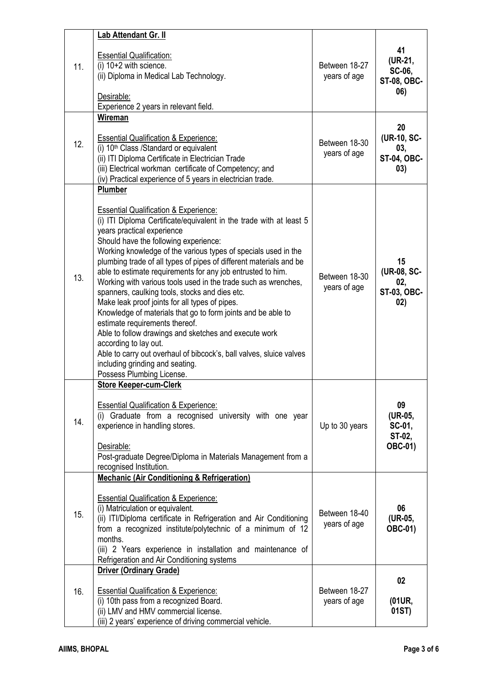|     | Lab Attendant Gr. II                                                                                                                                                                                                                                                                                                                                                                                                                                                                                                                                                                                                                                                                                                                                                                                                                                                                                              |                               |                                                       |
|-----|-------------------------------------------------------------------------------------------------------------------------------------------------------------------------------------------------------------------------------------------------------------------------------------------------------------------------------------------------------------------------------------------------------------------------------------------------------------------------------------------------------------------------------------------------------------------------------------------------------------------------------------------------------------------------------------------------------------------------------------------------------------------------------------------------------------------------------------------------------------------------------------------------------------------|-------------------------------|-------------------------------------------------------|
| 11. | <b>Essential Qualification:</b><br>(i) $10+2$ with science.<br>(ii) Diploma in Medical Lab Technology.<br>Desirable:<br>Experience 2 years in relevant field.                                                                                                                                                                                                                                                                                                                                                                                                                                                                                                                                                                                                                                                                                                                                                     | Between 18-27<br>years of age | 41<br>(UR-21,<br>SC-06,<br><b>ST-08, OBC-</b><br>06)  |
| 12. | Wireman<br><b>Essential Qualification &amp; Experience:</b><br>(i) 10 <sup>th</sup> Class /Standard or equivalent<br>(ii) ITI Diploma Certificate in Electrician Trade<br>(iii) Electrical workman certificate of Competency; and<br>(iv) Practical experience of 5 years in electrician trade.                                                                                                                                                                                                                                                                                                                                                                                                                                                                                                                                                                                                                   | Between 18-30<br>years of age | 20<br>(UR-10, SC-<br>03,<br><b>ST-04, OBC-</b><br>03) |
| 13. | Plumber<br><b>Essential Qualification &amp; Experience:</b><br>(i) ITI Diploma Certificate/equivalent in the trade with at least 5<br>years practical experience<br>Should have the following experience:<br>Working knowledge of the various types of specials used in the<br>plumbing trade of all types of pipes of different materials and be<br>able to estimate requirements for any job entrusted to him.<br>Working with various tools used in the trade such as wrenches,<br>spanners, caulking tools, stocks and dies etc.<br>Make leak proof joints for all types of pipes.<br>Knowledge of materials that go to form joints and be able to<br>estimate requirements thereof.<br>Able to follow drawings and sketches and execute work<br>according to lay out.<br>Able to carry out overhaul of bibcock's, ball valves, sluice valves<br>including grinding and seating.<br>Possess Plumbing License. | Between 18-30<br>years of age | 15<br>(UR-08, SC-<br>02,<br>ST-03, OBC-<br>02)        |
| 14. | <b>Store Keeper-cum-Clerk</b><br><b>Essential Qualification &amp; Experience:</b><br>(i) Graduate from a recognised university with one year<br>experience in handling stores.<br>Desirable:<br>Post-graduate Degree/Diploma in Materials Management from a<br>recognised Institution.                                                                                                                                                                                                                                                                                                                                                                                                                                                                                                                                                                                                                            | Up to 30 years                | 09<br>(UR-05,<br>SC-01,<br>ST-02,<br><b>OBC-01)</b>   |
| 15. | <b>Mechanic (Air Conditioning &amp; Refrigeration)</b><br><b>Essential Qualification &amp; Experience:</b><br>(i) Matriculation or equivalent.<br>(ii) ITI/Diploma certificate in Refrigeration and Air Conditioning<br>from a recognized institute/polytechnic of a minimum of 12<br>months.<br>(iii) 2 Years experience in installation and maintenance of<br>Refrigeration and Air Conditioning systems                                                                                                                                                                                                                                                                                                                                                                                                                                                                                                        | Between 18-40<br>years of age | 06<br>(UR-05,<br><b>OBC-01)</b>                       |
| 16. | <b>Driver (Ordinary Grade)</b><br><b>Essential Qualification &amp; Experience:</b><br>(i) 10th pass from a recognized Board.<br>(ii) LMV and HMV commercial license.<br>(iii) 2 years' experience of driving commercial vehicle.                                                                                                                                                                                                                                                                                                                                                                                                                                                                                                                                                                                                                                                                                  | Between 18-27<br>years of age | 02<br>(01UR,<br>01ST)                                 |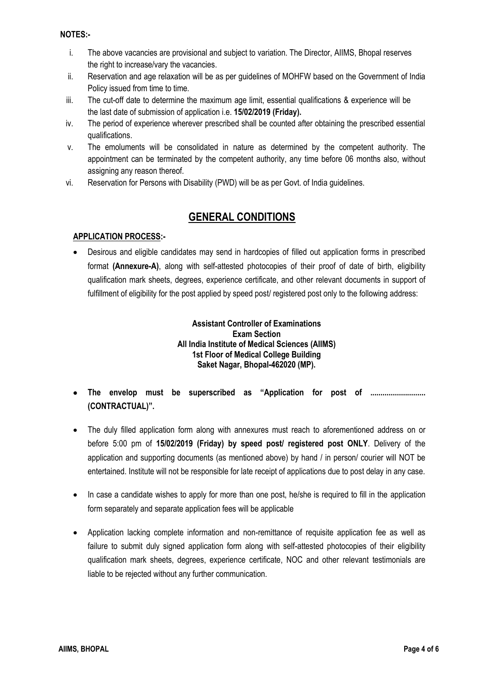#### **NOTES:-**

- i. The above vacancies are provisional and subject to variation. The Director, AIIMS, Bhopal reserves the right to increase/vary the vacancies.
- ii. Reservation and age relaxation will be as per guidelines of MOHFW based on the Government of India Policy issued from time to time.
- iii. The cut-off date to determine the maximum age limit, essential qualifications & experience will be the last date of submission of application i.e. **15/02/2019 (Friday).**
- iv. The period of experience wherever prescribed shall be counted after obtaining the prescribed essential qualifications.
- v. The emoluments will be consolidated in nature as determined by the competent authority. The appointment can be terminated by the competent authority, any time before 06 months also, without assigning any reason thereof.
- vi. Reservation for Persons with Disability (PWD) will be as per Govt. of India guidelines.

### **GENERAL CONDITIONS**

### **APPLICATION PROCESS:-**

• Desirous and eligible candidates may send in hardcopies of filled out application forms in prescribed format **(Annexure-A)**, along with self-attested photocopies of their proof of date of birth, eligibility qualification mark sheets, degrees, experience certificate, and other relevant documents in support of fulfillment of eligibility for the post applied by speed post/ registered post only to the following address:

#### **Assistant Controller of Examinations Exam Section All India Institute of Medical Sciences (AIIMS) 1st Floor of Medical College Building Saket Nagar, Bhopal-462020 (MP).**

- **The envelop must be superscribed as "Application for post of ........................... (CONTRACTUAL)".**
- The duly filled application form along with annexures must reach to aforementioned address on or before 5:00 pm of **15/02/2019 (Friday) by speed post/ registered post ONLY**. Delivery of the application and supporting documents (as mentioned above) by hand / in person/ courier will NOT be entertained. Institute will not be responsible for late receipt of applications due to post delay in any case.
- In case a candidate wishes to apply for more than one post, he/she is required to fill in the application form separately and separate application fees will be applicable
- Application lacking complete information and non-remittance of requisite application fee as well as failure to submit duly signed application form along with self-attested photocopies of their eligibility qualification mark sheets, degrees, experience certificate, NOC and other relevant testimonials are liable to be rejected without any further communication.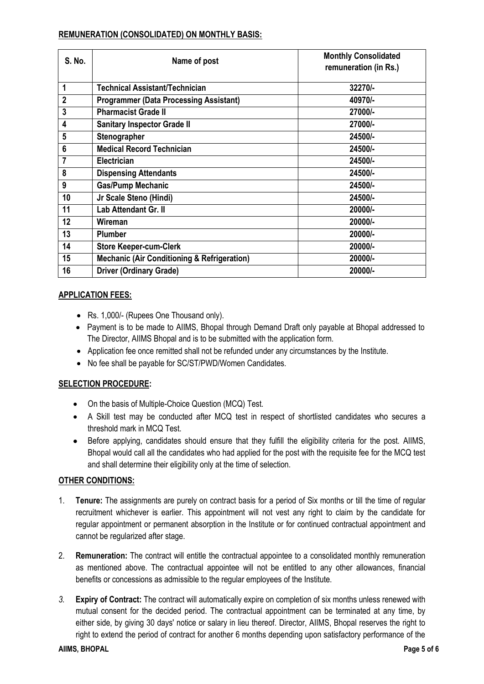| S. No.         | Name of post                                           | <b>Monthly Consolidated</b><br>remuneration (in Rs.) |
|----------------|--------------------------------------------------------|------------------------------------------------------|
| 1              | <b>Technical Assistant/Technician</b>                  | 32270/-                                              |
| $\overline{2}$ | <b>Programmer (Data Processing Assistant)</b>          | 40970/-                                              |
| 3              | <b>Pharmacist Grade II</b>                             | 27000/-                                              |
| 4              | <b>Sanitary Inspector Grade II</b>                     | 27000/-                                              |
| 5              | Stenographer                                           | 24500/-                                              |
| $6\phantom{1}$ | <b>Medical Record Technician</b>                       | 24500/-                                              |
| 7              | Electrician                                            | 24500/-                                              |
| 8              | <b>Dispensing Attendants</b>                           | 24500/-                                              |
| 9              | <b>Gas/Pump Mechanic</b>                               | 24500/-                                              |
| 10             | Jr Scale Steno (Hindi)                                 | 24500/-                                              |
| 11             | Lab Attendant Gr. II                                   | 20000/-                                              |
| 12             | Wireman                                                | 20000/-                                              |
| 13             | <b>Plumber</b>                                         | 20000/-                                              |
| 14             | <b>Store Keeper-cum-Clerk</b>                          | 20000/-                                              |
| 15             | <b>Mechanic (Air Conditioning &amp; Refrigeration)</b> | 20000/-                                              |
| 16             | <b>Driver (Ordinary Grade)</b>                         | 20000/-                                              |

#### **REMUNERATION (CONSOLIDATED) ON MONTHLY BASIS:**

#### **APPLICATION FEES:**

- Rs. 1,000/- (Rupees One Thousand only).
- Payment is to be made to AIIMS, Bhopal through Demand Draft only payable at Bhopal addressed to The Director, AIIMS Bhopal and is to be submitted with the application form.
- Application fee once remitted shall not be refunded under any circumstances by the Institute.
- No fee shall be payable for SC/ST/PWD/Women Candidates.

#### **SELECTION PROCEDURE:**

- On the basis of Multiple-Choice Question (MCQ) Test.
- A Skill test may be conducted after MCQ test in respect of shortlisted candidates who secures a threshold mark in MCQ Test.
- Before applying, candidates should ensure that they fulfill the eligibility criteria for the post. AIIMS, Bhopal would call all the candidates who had applied for the post with the requisite fee for the MCQ test and shall determine their eligibility only at the time of selection.

#### **OTHER CONDITIONS:**

- 1. **Tenure:** The assignments are purely on contract basis for a period of Six months or till the time of regular recruitment whichever is earlier. This appointment will not vest any right to claim by the candidate for regular appointment or permanent absorption in the Institute or for continued contractual appointment and cannot be regularized after stage.
- 2. **Remuneration:** The contract will entitle the contractual appointee to a consolidated monthly remuneration as mentioned above. The contractual appointee will not be entitled to any other allowances, financial benefits or concessions as admissible to the regular employees of the Institute.
- *3.* **Expiry of Contract:** The contract will automatically expire on completion of six months unless renewed with mutual consent for the decided period. The contractual appointment can be terminated at any time, by either side, by giving 30 days' notice or salary in lieu thereof. Director, AIIMS, Bhopal reserves the right to right to extend the period of contract for another 6 months depending upon satisfactory performance of the